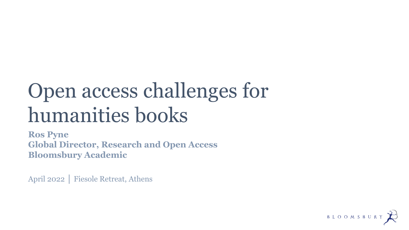# Open access challenges for humanities books

**Ros Pyne Global Director, Research and Open Access Bloomsbury Academic**

April 2022 │ Fiesole Retreat, Athens

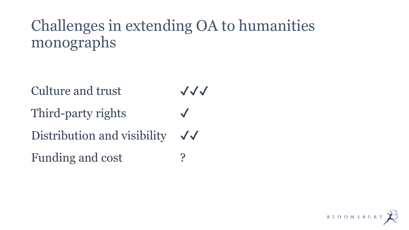## Challenges in extending OA to humanities monographs

**Culture and trust**  $\bigvee\bigvee$ 

Third-party rights

Distribution and visibility  $\sqrt{\sqrt{\ }}$ 

Funding and cost ?

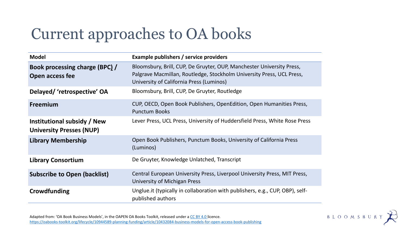## Current approaches to OA books

| <b>Model</b>                                                   | Example publishers / service providers                                                                                                                                                     |
|----------------------------------------------------------------|--------------------------------------------------------------------------------------------------------------------------------------------------------------------------------------------|
| Book processing charge (BPC) /<br>Open access fee              | Bloomsbury, Brill, CUP, De Gruyter, OUP, Manchester University Press,<br>Palgrave Macmillan, Routledge, Stockholm University Press, UCL Press,<br>University of California Press (Luminos) |
| Delayed/ 'retrospective' OA                                    | Bloomsbury, Brill, CUP, De Gruyter, Routledge                                                                                                                                              |
| <b>Freemium</b>                                                | CUP, OECD, Open Book Publishers, OpenEdition, Open Humanities Press,<br><b>Punctum Books</b>                                                                                               |
| Institutional subsidy / New<br><b>University Presses (NUP)</b> | Lever Press, UCL Press, University of Huddersfield Press, White Rose Press                                                                                                                 |
| <b>Library Membership</b>                                      | Open Book Publishers, Punctum Books, University of California Press<br>(Luminos)                                                                                                           |
| <b>Library Consortium</b>                                      | De Gruyter, Knowledge Unlatched, Transcript                                                                                                                                                |
| <b>Subscribe to Open (backlist)</b>                            | Central European University Press, Liverpool University Press, MIT Press,<br>University of Michigan Press                                                                                  |
| Crowdfunding                                                   | Unglue. it (typically in collaboration with publishers, e.g., CUP, OBP), self-<br>published authors                                                                                        |

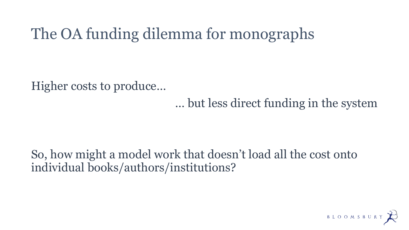### The OA funding dilemma for monographs

Higher costs to produce…

… but less direct funding in the system

### So, how might a model work that doesn't load all the cost onto individual books/authors/institutions?

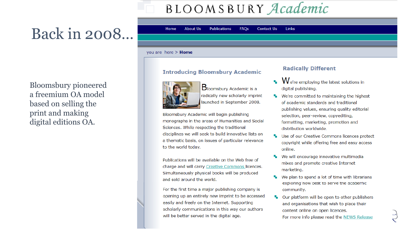### BLOOMSBURY Academic

### Back in 2008...

**Bloomsbury pioneered** a freemium OA model based on selling the print and making digital editions OA.

#### **About Us** Home

**Publications FAOs** 

**Contact Us Links** 

#### you are here > Home

#### **Introducing Bloomsbury Academic**



Bloomsbury Academic is a radically new scholarly imprint launched in September 2008.

Bloomsbury Academic will begin publishing monographs in the areas of Humanities and Social Sciences. While respecting the traditional disciplines we will seek to build innovative lists on a thematic basis, on issues of particular relevance to the world today.

Publications will be available on the Web free of charge and will carry Creative Commons licences. Simultaneously physical books will be produced and sold around the world.

For the first time a major publishing company is opening up an entirely new imprint to be accessed easily and freely on the Internet. Supporting scholarly communications in this way our authors will be better served in the digital age.

#### **Radically Different**

- We're employing the latest solutions in digital publishing.
- **We're committed to maintaining the highest** of academic standards and traditional publishing values, ensuring quality editorial selection, peer-review, copyediting, formatting, marketing, promotion and distribution worldwide.
- Use of our Creative Commons licences protect copyright while offering free and easy access online.
- We will encourage innovative multimedia mixes and promote creative Internet marketing.
- We plan to spend a lot of time with librarians exploring now best to serve the academic community.
- Our platform will be open to other publishers and organisations that wish to place their content online on open licences.
	- For more info please read the NEWS Release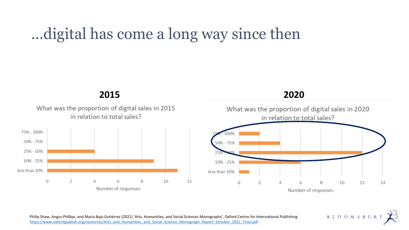### …digital has come a long way since then







B L O O M S B U R Y

Philip Shaw, Angus Phillips, and Maria Bajo Gutiérrez (2021) 'Arts, Humanities, and Social Sciences Monographs', Oxford Centre for International Publishing [https://www.oxfordpublish.org/resources/Arts\\_and\\_Humanities\\_and\\_Social\\_Science\\_Monograph\\_Report\\_October\\_2021\\_Final.pdf](https://www.oxfordpublish.org/resources/Arts_and_Humanities_and_Social_Science_Monograph_Report_October_2021_Final.pdf)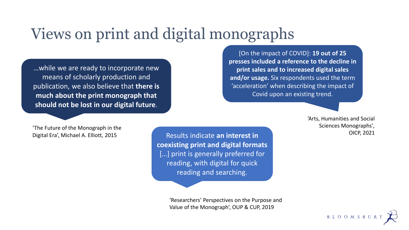### Views on print and digital monographs

…while we are ready to incorporate new means of scholarly production and publication, we also believe that **there is much about the print monograph that should not be lost in our digital future**.

[On the impact of COVID]: **19 out of 25 presses included a reference to the decline in print sales and to increased digital sales and/or usage.** Six respondents used the term 'acceleration' when describing the impact of Covid upon an existing trend.

> 'Arts, Humanities and Social Sciences Monographs'*,*  OICP, 2021

'The Future of the Monograph in the Digital Era', Michael A. Elliott, 2015

Results indicate **an interest in coexisting print and digital formats**  [...] print is generally preferred for reading, with digital for quick reading and searching.

> 'Researchers' Perspectives on the Purpose and Value of the Monograph', OUP & CUP, 2019

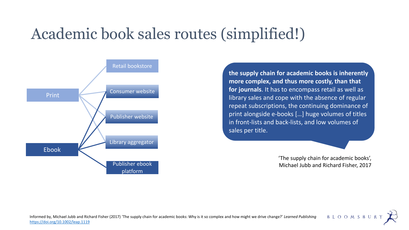### Academic book sales routes (simplified!)



**the supply chain for academic books is inherently more complex, and thus more costly, than that for journals**. It has to encompass retail as well as library sales and cope with the absence of regular repeat subscriptions, the continuing dominance of print alongside e-books […] huge volumes of titles in front-lists and back-lists, and low volumes of sales per title.

> 'The supply chain for academic books', Michael Jubb and Richard Fisher, 2017

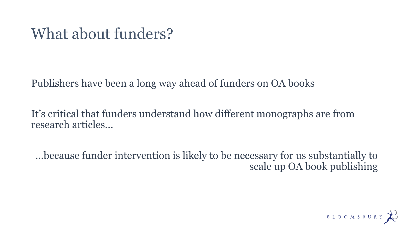### What about funders?

Publishers have been a long way ahead of funders on OA books

It's critical that funders understand how different monographs are from research articles...

…because funder intervention is likely to be necessary for us substantially to scale up OA book publishing

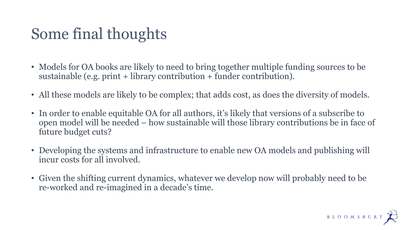### Some final thoughts

- Models for OA books are likely to need to bring together multiple funding sources to be sustainable (e.g. print + library contribution + funder contribution).
- All these models are likely to be complex; that adds cost, as does the diversity of models.
- In order to enable equitable OA for all authors, it's likely that versions of a subscribe to open model will be needed – how sustainable will those library contributions be in face of future budget cuts?
- Developing the systems and infrastructure to enable new OA models and publishing will incur costs for all involved.
- Given the shifting current dynamics, whatever we develop now will probably need to be re-worked and re-imagined in a decade's time.